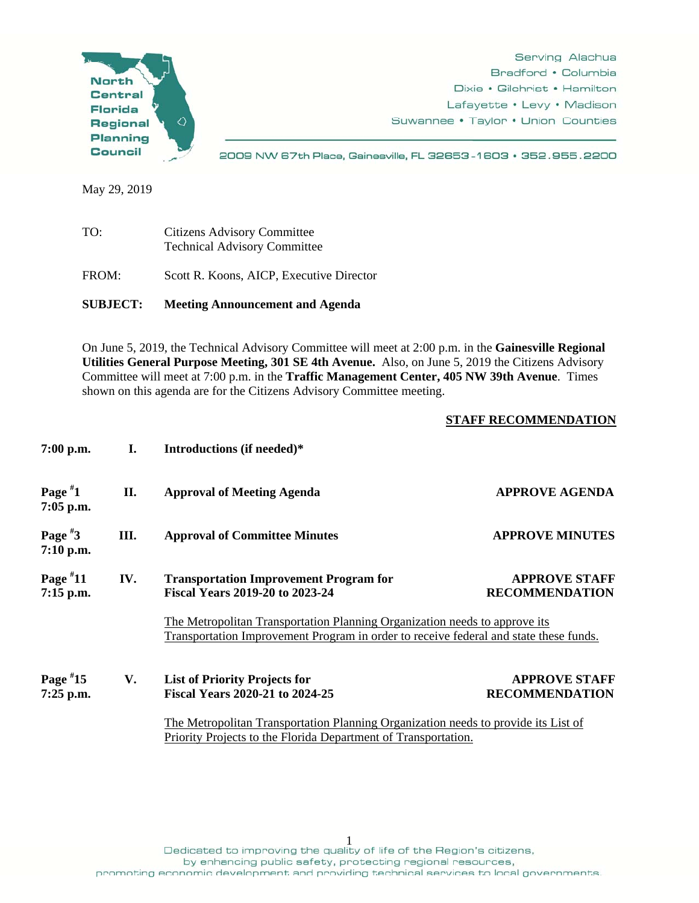

May 29, 2019

| TO:   | <b>Citizens Advisory Committee</b><br><b>Technical Advisory Committee</b> |
|-------|---------------------------------------------------------------------------|
| FROM: | Scott R. Koons, AICP, Executive Director                                  |

**SUBJECT: Meeting Announcement and Agenda** 

On June 5, 2019, the Technical Advisory Committee will meet at 2:00 p.m. in the **Gainesville Regional Utilities General Purpose Meeting, 301 SE 4th Avenue.** Also, on June 5, 2019 the Citizens Advisory Committee will meet at 7:00 p.m. in the **Traffic Management Center, 405 NW 39th Avenue**. Times shown on this agenda are for the Citizens Advisory Committee meeting.

## **STAFF RECOMMENDATION**

| $7:00$ p.m.               | I.  | Introductions (if needed)*                                                                                                                                                                                                             |                                               |
|---------------------------|-----|----------------------------------------------------------------------------------------------------------------------------------------------------------------------------------------------------------------------------------------|-----------------------------------------------|
| Page $*1$<br>$7:05$ p.m.  | II. | <b>Approval of Meeting Agenda</b>                                                                                                                                                                                                      | <b>APPROVE AGENDA</b>                         |
| Page $*3$<br>$7:10$ p.m.  | Ш.  | <b>Approval of Committee Minutes</b>                                                                                                                                                                                                   | <b>APPROVE MINUTES</b>                        |
| Page $*11$<br>$7:15$ p.m. | IV. | <b>Transportation Improvement Program for</b><br><b>Fiscal Years 2019-20 to 2023-24</b>                                                                                                                                                | <b>APPROVE STAFF</b><br><b>RECOMMENDATION</b> |
|                           |     | The Metropolitan Transportation Planning Organization needs to approve its<br>Transportation Improvement Program in order to receive federal and state these funds.                                                                    |                                               |
| Page $*15$<br>$7:25$ p.m. | V.  | <b>List of Priority Projects for</b><br><b>Fiscal Years 2020-21 to 2024-25</b><br>The Metropolitan Transportation Planning Organization needs to provide its List of<br>Priority Projects to the Florida Department of Transportation. | <b>APPROVE STAFF</b><br><b>RECOMMENDATION</b> |